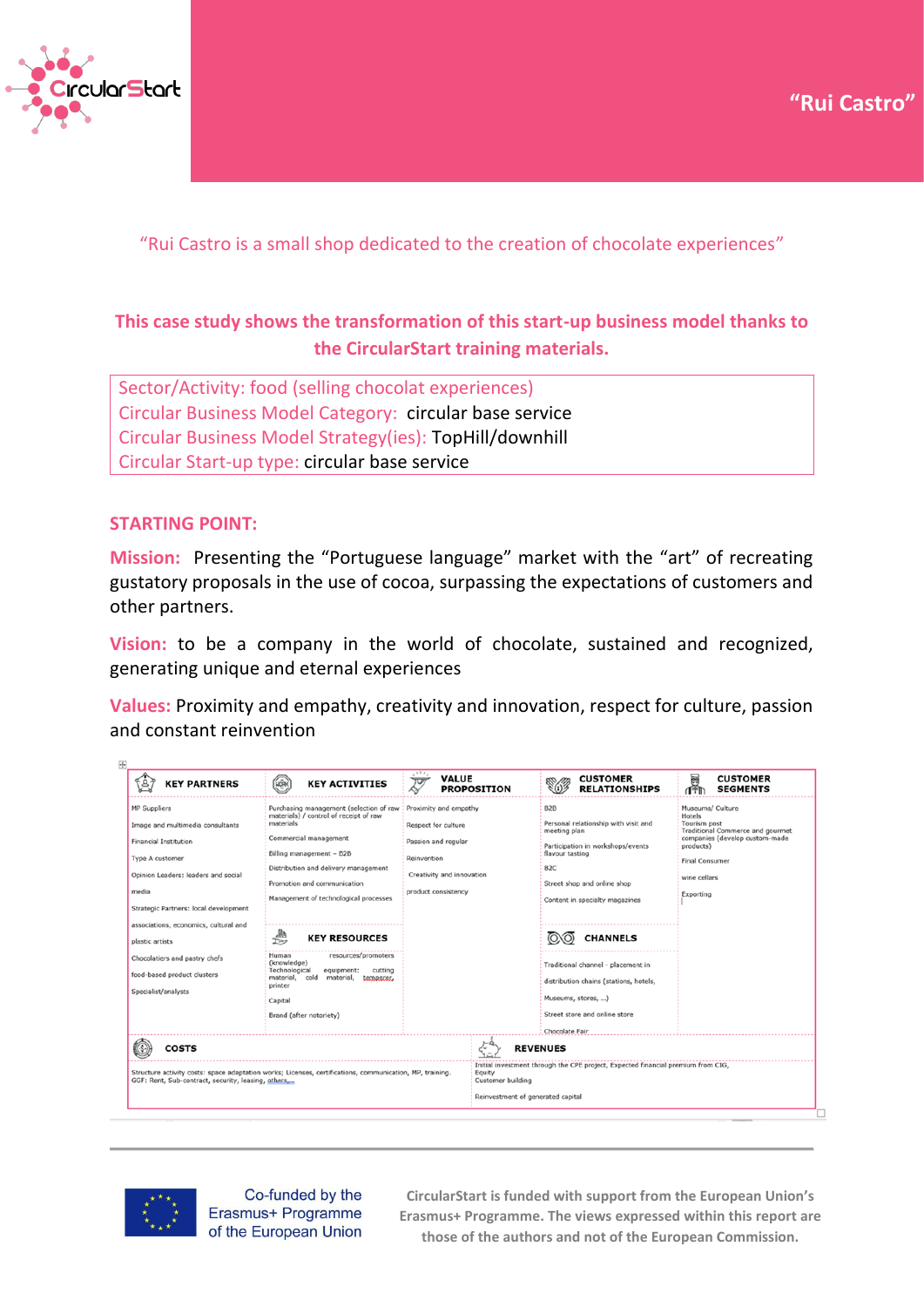



"Rui Castro is a small shop dedicated to the creation of chocolate experiences"

# **This case study shows the transformation of this start-up business model thanks to the CircularStart training materials.**

Sector/Activity: food (selling chocolat experiences) Circular Business Model Category: circular base service Circular Business Model Strategy(ies): TopHill/downhill Circular Start-up type: circular base service

## **STARTING POINT:**

**Mission:** Presenting the "Portuguese language" market with the "art" of recreating gustatory proposals in the use of cocoa, surpassing the expectations of customers and other partners.

**Vision:** to be a company in the world of chocolate, sustained and recognized, generating unique and eternal experiences

**Values:** Proximity and empathy, creativity and innovation, respect for culture, passion and constant reinvention





Co-funded by the Erasmus+ Programme of the European Union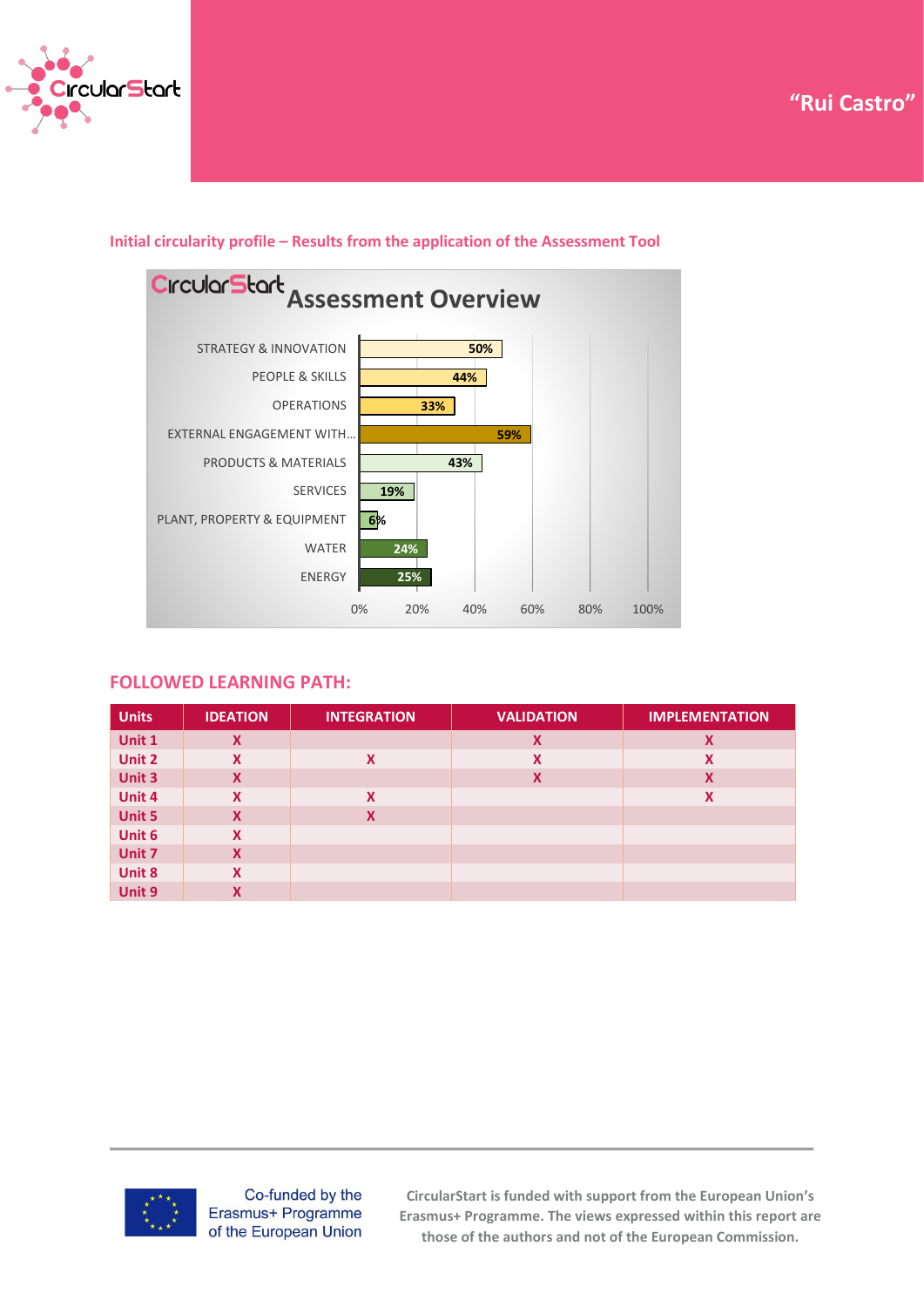





## **Initial circularity profile – Results from the application of the Assessment Tool**

### **FOLLOWED LEARNING PATH:**

| <b>Units</b>  | <b>IDEATION</b> | <b>INTEGRATION</b> | <b>VALIDATION</b> | <b>IMPLEMENTATION</b> |
|---------------|-----------------|--------------------|-------------------|-----------------------|
| Unit 1        | X               |                    | X                 | X                     |
| Unit 2        | X               | X                  | X                 | X                     |
| Unit 3        | X               |                    | X                 | X                     |
| Unit 4        | X               | X                  |                   | X                     |
| <b>Unit 5</b> | X               | X                  |                   |                       |
| Unit 6        | X               |                    |                   |                       |
| Unit 7        | X               |                    |                   |                       |
| Unit 8        | X               |                    |                   |                       |
| Unit 9        | X               |                    |                   |                       |



Co-funded by the Erasmus+ Programme of the European Union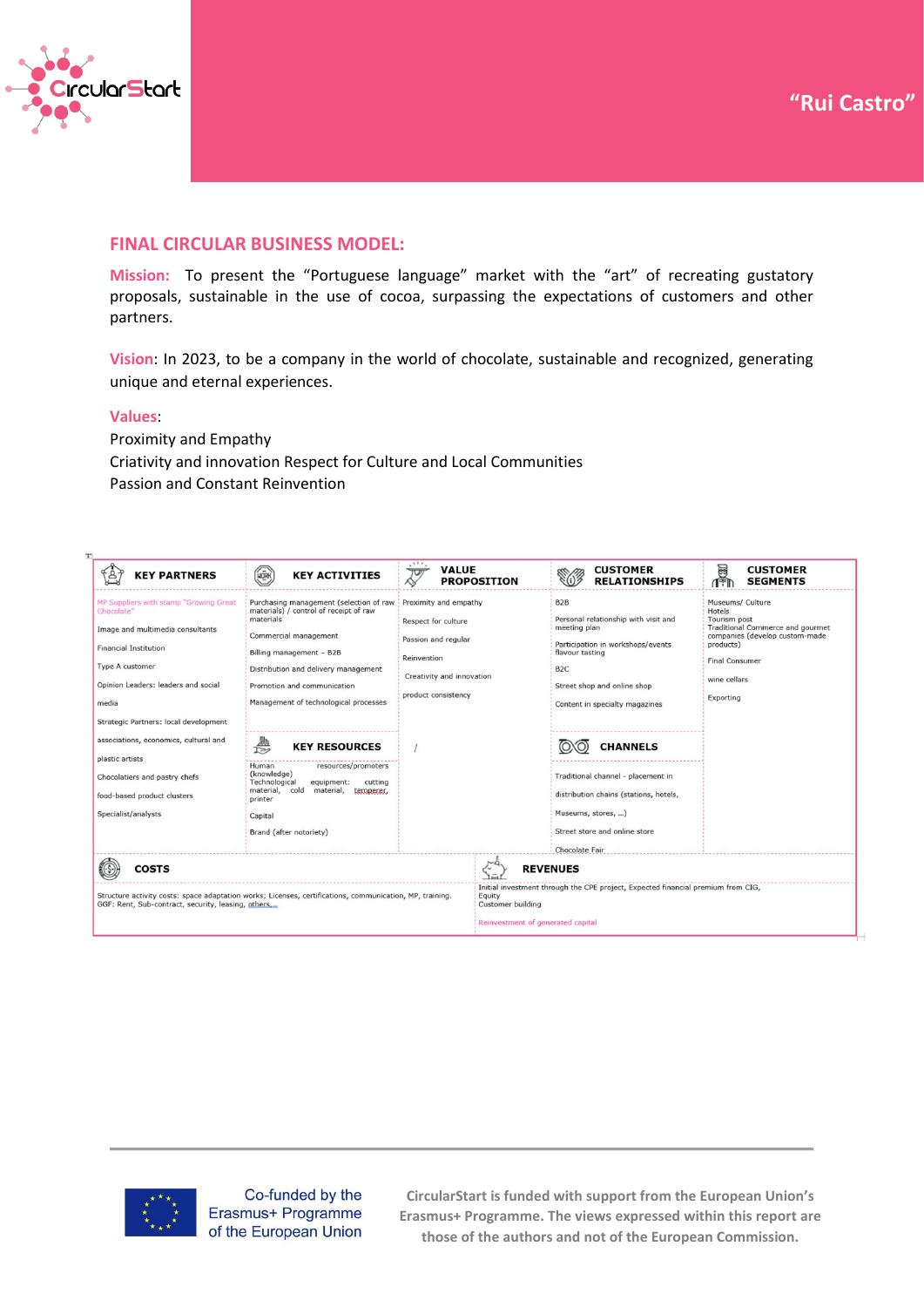

### **FINAL CIRCULAR BUSINESS MODEL:**

**Mission:** To present the "Portuguese language" market with the "art" of recreating gustatory proposals, sustainable in the use of cocoa, surpassing the expectations of customers and other partners.

**Vision**: In 2023, to be a company in the world of chocolate, sustainable and recognized, generating unique and eternal experiences.

#### **Values**:

Proximity and Empathy Criativity and innovation Respect for Culture and Local Communities Passion and Constant Reinvention

| <b>KEY PARTNERS</b>                                                                                                                                                                                                                                                                                                                                                                      | <b>HORK</b><br><b>KEY ACTIVITIES</b>                                                                                                                                                                                                                                                                                                                                                                                                                                                                                                                                                                                          | <b>VALUE</b><br>᠊ᠨᠣ | <b>PROPOSITION</b> | <b>CUSTOMER</b><br><b>RELATIONSHIPS</b>                                                                                                                                                                                                                                                                                                                                                           | <b>CUSTOMER</b><br>圝<br><b>SEGMENTS</b>                                                                                                                                             |  |
|------------------------------------------------------------------------------------------------------------------------------------------------------------------------------------------------------------------------------------------------------------------------------------------------------------------------------------------------------------------------------------------|-------------------------------------------------------------------------------------------------------------------------------------------------------------------------------------------------------------------------------------------------------------------------------------------------------------------------------------------------------------------------------------------------------------------------------------------------------------------------------------------------------------------------------------------------------------------------------------------------------------------------------|---------------------|--------------------|---------------------------------------------------------------------------------------------------------------------------------------------------------------------------------------------------------------------------------------------------------------------------------------------------------------------------------------------------------------------------------------------------|-------------------------------------------------------------------------------------------------------------------------------------------------------------------------------------|--|
| MP Suppliers with stamp "Growing Great"<br>Chocolate"<br>Image and multimedia consultants<br><b>Financial Institution</b><br>Type A customer<br>Opinion Leaders: leaders and social<br>media<br>Strategic Partners: local development<br>associations, economics, cultural and<br>plastic artists<br>Chocolatiers and pastry chefs<br>food-based product clusters<br>Specialist/analysts | Purchasing management (selection of raw<br>Proximity and empathy<br>materials) / control of receipt of raw<br>materials<br>Respect for culture<br>Commercial management<br>Passion and regular<br>Billing management - B2B<br>Reinvention<br>Distribution and delivery management<br>Creativity and innovation<br>Promotion and communication<br>product consistency<br>Management of technological processes<br>₿<br><b>KEY RESOURCES</b><br>resources/promoters<br>Human<br>(knowledge)<br>Technological<br>cutting<br>equipment:<br>material, cold<br>material, temperer,<br>printer<br>Capital<br>Brand (after notoriety) |                     |                    | B <sub>2</sub> B<br>Personal relationship with visit and<br>meeting plan<br>Participation in workshops/events<br>flavour tasting<br>B <sub>2</sub> C<br>Street shop and online shop<br>Content in specialty magazines<br><b>CHANNELS</b><br>Traditional channel - placement in<br>distribution chains (stations, hotels,<br>Museums, stores, )<br>Street store and online store<br>Chocolate Fair | Museums/ Culture<br>Hotels<br>Tourism post<br>Traditional Commerce and gourmet<br>companies (develop custom-made<br>products)<br><b>Final Consumer</b><br>wine cellars<br>Exporting |  |
| <b>COSTS</b>                                                                                                                                                                                                                                                                                                                                                                             |                                                                                                                                                                                                                                                                                                                                                                                                                                                                                                                                                                                                                               | <b>REVENUES</b>     |                    |                                                                                                                                                                                                                                                                                                                                                                                                   |                                                                                                                                                                                     |  |
| Structure activity costs: space adaptation works; Licenses, certifications, communication, MP, training.<br>GGF: Rent, Sub-contract, security, leasing, others                                                                                                                                                                                                                           |                                                                                                                                                                                                                                                                                                                                                                                                                                                                                                                                                                                                                               |                     |                    | Initial investment through the CPE project, Expected financial premium from CIG,<br>Equity<br><b>Customer building</b><br>Reinvestment of generated capital                                                                                                                                                                                                                                       |                                                                                                                                                                                     |  |



Co-funded by the Erasmus+ Programme of the European Union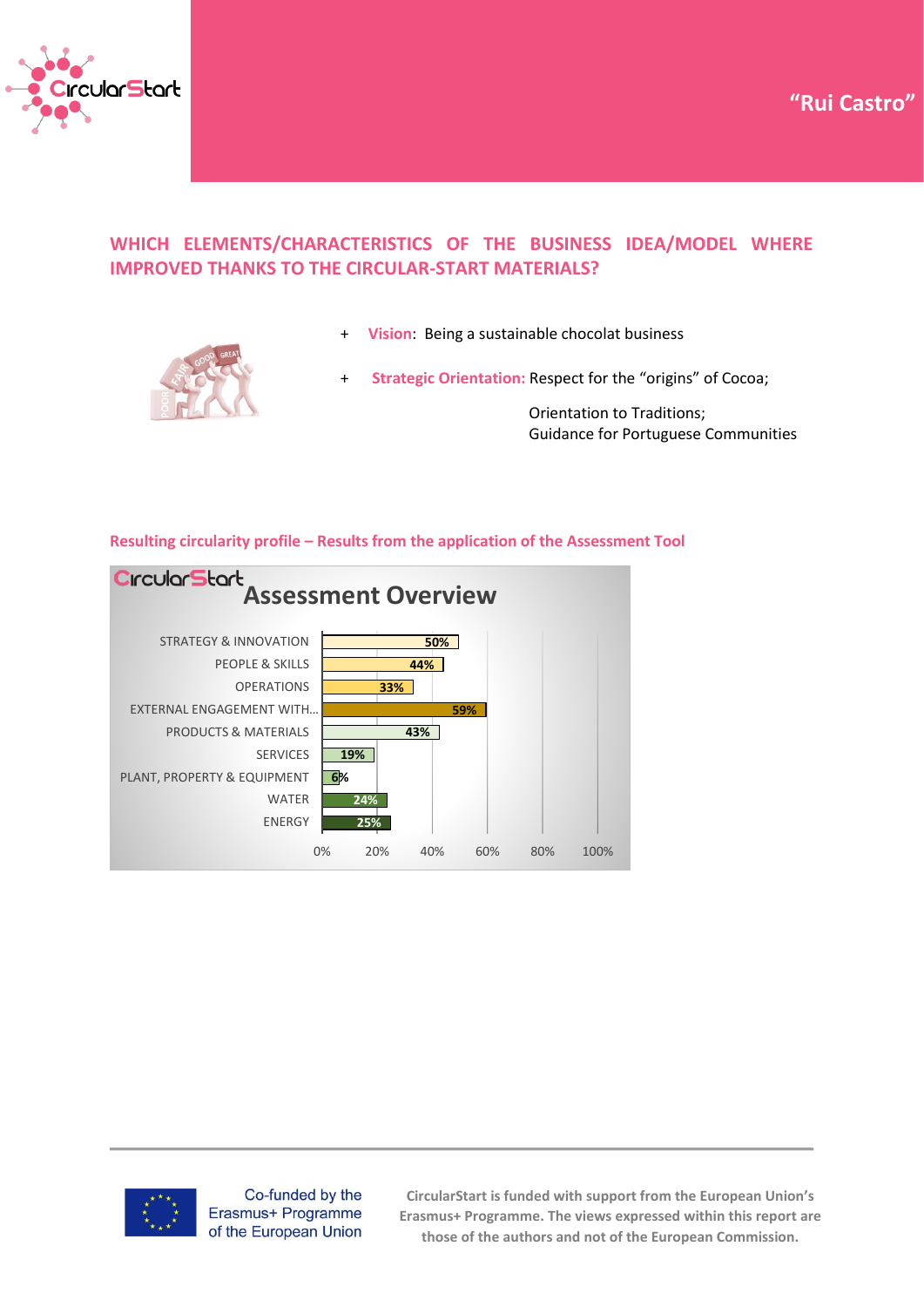



## **WHICH ELEMENTS/CHARACTERISTICS OF THE BUSINESS IDEA/MODEL WHERE IMPROVED THANKS TO THE CIRCULAR-START MATERIALS?**



- **Vision:** Being a sustainable chocolat business
- Strategic Orientation: Respect for the "origins" of Cocoa;

 Orientation to Traditions; Guidance for Portuguese Communities

### **Resulting circularity profile – Results from the application of the Assessment Tool**





Co-funded by the Erasmus+ Programme of the European Union